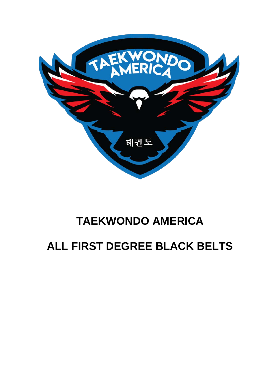

### **TAEKWONDO AMERICA**

### **ALL FIRST DEGREE BLACK BELTS**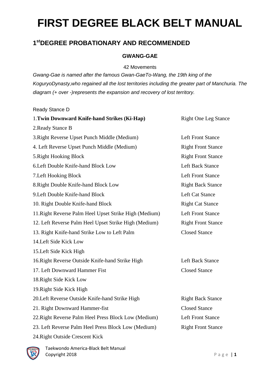#### **1stDEGREE PROBATIONARY AND RECOMMENDED**

#### **GWANG-GAE**

42 Movements

*Gwang-Gae is named after the famous Gwan-GaeTo-Wang, the 19th king of the KoguryoDynasty,who regained all the lost territories including the greater part of Manchuria. The diagram (+ over -)represents the expansion and recovery of lost territory.*

Ready Stance D

| 1. Twin Downward Knife-hand Strikes (Ki-Hap)           | <b>Right One Leg Stance</b> |  |
|--------------------------------------------------------|-----------------------------|--|
| 2. Ready Stance B                                      |                             |  |
| 3. Right Reverse Upset Punch Middle (Medium)           | <b>Left Front Stance</b>    |  |
| 4. Left Reverse Upset Punch Middle (Medium)            | <b>Right Front Stance</b>   |  |
| 5. Right Hooking Block                                 | <b>Right Front Stance</b>   |  |
| 6. Left Double Knife-hand Block Low                    | <b>Left Back Stance</b>     |  |
| 7. Left Hooking Block                                  | <b>Left Front Stance</b>    |  |
| 8. Right Double Knife-hand Block Low                   | <b>Right Back Stance</b>    |  |
| 9. Left Double Knife-hand Block                        | <b>Left Cat Stance</b>      |  |
| 10. Right Double Knife-hand Block                      | <b>Right Cat Stance</b>     |  |
| 11. Right Reverse Palm Heel Upset Strike High (Medium) | <b>Left Front Stance</b>    |  |
| 12. Left Reverse Palm Heel Upset Strike High (Medium)  | <b>Right Front Stance</b>   |  |
| 13. Right Knife-hand Strike Low to Left Palm           | <b>Closed Stance</b>        |  |
| 14. Left Side Kick Low                                 |                             |  |
| 15. Left Side Kick High                                |                             |  |
| 16. Right Reverse Outside Knife-hand Strike High       | <b>Left Back Stance</b>     |  |
| 17. Left Downward Hammer Fist                          | <b>Closed Stance</b>        |  |
| 18. Right Side Kick Low                                |                             |  |
| 19. Right Side Kick High                               |                             |  |
| 20. Left Reverse Outside Knife-hand Strike High        | <b>Right Back Stance</b>    |  |
| 21. Right Downward Hammer-fist                         | <b>Closed Stance</b>        |  |
| 22. Right Reverse Palm Heel Press Block Low (Medium)   | <b>Left Front Stance</b>    |  |
| 23. Left Reverse Palm Heel Press Block Low (Medium)    | <b>Right Front Stance</b>   |  |
| 24. Right Outside Crescent Kick                        |                             |  |

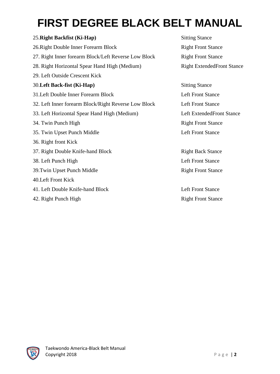| 25. Right Backfist (Ki-Hap)                          | <b>Sitting Stance</b>             |
|------------------------------------------------------|-----------------------------------|
| 26. Right Double Inner Forearm Block                 | <b>Right Front Stance</b>         |
| 27. Right Inner forearm Block/Left Reverse Low Block | <b>Right Front Stance</b>         |
| 28. Right Horizontal Spear Hand High (Medium)        | <b>Right ExtendedFront Stance</b> |
| 29. Left Outside Crescent Kick                       |                                   |
| 30. Left Back-fist (Ki-Hap)                          | <b>Sitting Stance</b>             |
| 31. Left Double Inner Forearm Block                  | <b>Left Front Stance</b>          |
| 32. Left Inner forearm Block/Right Reverse Low Block | <b>Left Front Stance</b>          |
| 33. Left Horizontal Spear Hand High (Medium)         | <b>Left ExtendedFront Stance</b>  |
| 34. Twin Punch High                                  | <b>Right Front Stance</b>         |
| 35. Twin Upset Punch Middle                          | <b>Left Front Stance</b>          |
| 36. Right front Kick                                 |                                   |
| 37. Right Double Knife-hand Block                    | <b>Right Back Stance</b>          |
| 38. Left Punch High                                  | <b>Left Front Stance</b>          |
| 39. Twin Upset Punch Middle                          | <b>Right Front Stance</b>         |
| 40. Left Front Kick                                  |                                   |
| 41. Left Double Knife-hand Block                     | <b>Left Front Stance</b>          |
| 42. Right Punch High                                 | <b>Right Front Stance</b>         |

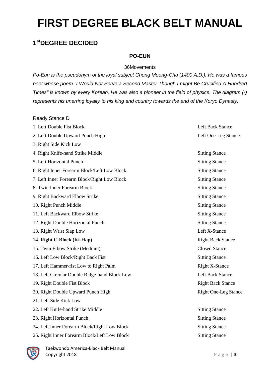#### **1stDEGREE DECIDED**

#### **PO-EUN**

#### 36Movements

*Po-Eun is the pseudonym of the loyal subject Chong Moong-Chu (1400 A.D.). He was a famous poet whose poem "I Would Not Serve a Second Master Though I might Be Crucified A Hundred Times" is known by every Korean. He was also a pioneer in the field of physics. The diagram (-) represents his unerring loyalty to his king and country towards the end of the Koryo Dynasty.* 

Ready Stance D

| 1. Left Double Fist Block                     | <b>Left Back Stance</b>     |
|-----------------------------------------------|-----------------------------|
| 2. Left Double Upward Punch High              | Left One-Leg Stance         |
| 3. Right Side Kick Low                        |                             |
| 4. Right Knife-hand Strike Middle             | <b>Sitting Stance</b>       |
| 5. Left Horizontal Punch                      | <b>Sitting Stance</b>       |
| 6. Right Inner Forearm Block/Left Low Block   | <b>Sitting Stance</b>       |
| 7. Left Inner Forearm Block/Right Low Block   | <b>Sitting Stance</b>       |
| 8. Twin Inner Forearm Block                   | <b>Sitting Stance</b>       |
| 9. Right Backward Elbow Strike                | <b>Sitting Stance</b>       |
| 10. Right Punch Middle                        | <b>Sitting Stance</b>       |
| 11. Left Backward Elbow Strike                | <b>Sitting Stance</b>       |
| 12. Right Double Horizontal Punch             | <b>Sitting Stance</b>       |
| Left X-Stance<br>13. Right Wrist Slap Low     |                             |
| 14. Right C-Block (Ki-Hap)                    | <b>Right Back Stance</b>    |
| 15. Twin Elbow Strike (Medium)                | <b>Closed Stance</b>        |
| 16. Left Low Block/Right Back Fist            | <b>Sitting Stance</b>       |
| 17. Left Hammer-fist Low to Right Palm        | <b>Right X-Stance</b>       |
| 18. Left Circular Double Ridge-hand Block Low | <b>Left Back Stance</b>     |
| 19. Right Double Fist Block                   | <b>Right Back Stance</b>    |
| 20. Right Double Upward Punch High            | <b>Right One-Leg Stance</b> |
| 21. Left Side Kick Low                        |                             |
| 22. Left Knife-hand Strike Middle             | <b>Sitting Stance</b>       |
| 23. Right Horizontal Punch                    | <b>Sitting Stance</b>       |
| 24. Left Inner Forearm Block/Right Low Block  | <b>Sitting Stance</b>       |
| 25. Right Inner Forearm Block/Left Low Block  | <b>Sitting Stance</b>       |

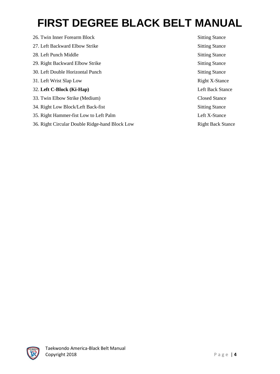26. Twin Inner Forearm Block Sitting Stance 27. Left Backward Elbow Strike Sitting Stance 28. Left Punch Middle Stance 29. Right Backward Elbow Strike Sitting Stance 30. Left Double Horizontal Punch Sitting Stance 31. Left Wrist Slap Low Right X-Stance 32. **Left C-Block (Ki-Hap)** Left Back Stance 33. Twin Elbow Strike (Medium) Closed Stance 34. Right Low Block/Left Back-fist Sitting Stance 35. Right Hammer-fist Low to Left Palm Left X-Stance 36. Right Circular Double Ridge-hand Block Low Right Back Stance

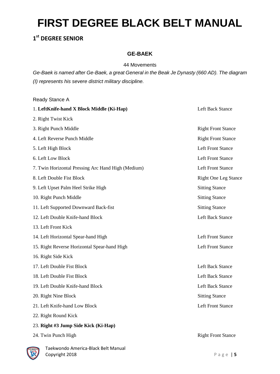#### **1st DEGREE SENIOR**

#### **GE-BAEK**

#### 44 Movements

*Ge-Baek is named after Ge-Baek, a great General in the Beak Je Dynasty (660 AD). The diagram (I) represents his severe district military discipline.*

Ready Stance A 1. **LeftKnife-hand X Block Middle (Ki-Hap)** Left Back Stance 2. Right Twist Kick 3. Right Punch Middle Right Front Stance 4. Left Reverse Punch Middle **Right Front Stance** Right Front Stance 5. Left High Block Left Front Stance 6. Left Low Block Left Front Stance 7. Twin Horizontal Pressing Arc Hand High (Medium) Left Front Stance 8. Left Double Fist Block Right One Leg Stance 9. Left Upset Palm Heel Strike High Sitting Stance 10. Right Punch Middle Sitting Stance 11. Left Supported Downward Back-fist Sitting Stance 12. Left Double Knife-hand Block Left Back Stance 13. Left Front Kick 14. Left Horizontal Spear-hand High Left Front Stance 15. Right Reverse Horizontal Spear-hand High Left Front Stance 16. Right Side Kick 17. Left Double Fist Block Left Back Stance 18. Left Double Fist Block Left Back Stance 19. Left Double Knife-hand Block Left Back Stance 20. Right Nine Block Sitting Stance 21. Left Knife-hand Low Block Left Front Stance 22. Right Round Kick 23. **Right #3 Jump Side Kick (Ki-Hap)** 24. Twin Punch High Right Front Stance

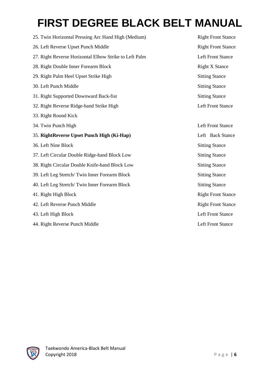| 25. Twin Horizontal Pressing Arc Hand High (Medium)    | <b>Right Front Stanc</b> |
|--------------------------------------------------------|--------------------------|
| 26. Left Reverse Upset Punch Middle                    | <b>Right Front Stanc</b> |
| 27. Right Reverse Horizontal Elbow Strike to Left Palm | <b>Left Front Stance</b> |
| 28. Right Double Inner Forearm Block                   | <b>Right X Stance</b>    |
| 29. Right Palm Heel Upset Strike High                  | <b>Sitting Stance</b>    |
| 30. Left Punch Middle                                  | <b>Sitting Stance</b>    |
| 31. Right Supported Downward Back-fist                 | <b>Sitting Stance</b>    |
| 32. Right Reverse Ridge-hand Strike High               | <b>Left Front Stance</b> |
| 33. Right Round Kick                                   |                          |
| 34. Twin Punch High                                    | <b>Left Front Stance</b> |
| 35. RightReverse Upset Punch High (Ki-Hap)             | Left Back Stance         |
| 36. Left Nine Block                                    | <b>Sitting Stance</b>    |
| 37. Left Circular Double Ridge-hand Block Low          | <b>Sitting Stance</b>    |
| 38. Right Circular Double Knife-hand Block Low         | <b>Sitting Stance</b>    |
| 39. Left Leg Stretch/Twin Inner Forearm Block          | <b>Sitting Stance</b>    |
| 40. Left Leg Stretch/Twin Inner Forearm Block          | <b>Sitting Stance</b>    |
| 41. Right High Block                                   | <b>Right Front Stanc</b> |
| 42. Left Reverse Punch Middle                          | <b>Right Front Stanc</b> |
| 43. Left High Block                                    | <b>Left Front Stance</b> |
| 44. Right Reverse Punch Middle                         | <b>Left Front Stance</b> |

Right Front Stance Right Front Stance Left Front Stance Right X Stance Sitting Stance Sitting Stance Sitting Stance Left Front Stance Left Front Stance Left Back Stance Sitting Stance Sitting Stance Sitting Stance Sitting Stance Sitting Stance **Right Front Stance Right Front Stance** 

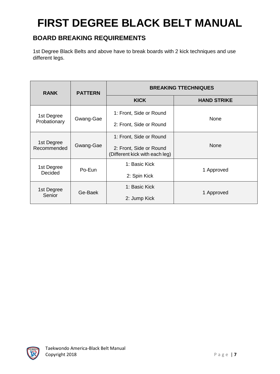#### **BOARD BREAKING REQUIREMENTS**

1st Degree Black Belts and above have to break boards with 2 kick techniques and use different legs.

| <b>RANK</b>                     | <b>PATTERN</b> | <b>BREAKING TTECHNIQUES</b>                               |                    |  |
|---------------------------------|----------------|-----------------------------------------------------------|--------------------|--|
|                                 |                | <b>KICK</b>                                               | <b>HAND STRIKE</b> |  |
| 1st Degree<br>Probationary      | Gwang-Gae      | 1: Front, Side or Round                                   | None               |  |
|                                 |                | 2: Front, Side or Round                                   |                    |  |
| 1st Degree<br>Recommended       |                | 1: Front, Side or Round                                   |                    |  |
|                                 | Gwang-Gae      | 2: Front, Side or Round<br>(Different kick with each leg) | <b>None</b>        |  |
| 1st Degree<br>Po-Eun<br>Decided |                | 1: Basic Kick                                             |                    |  |
|                                 |                | 2: Spin Kick                                              | 1 Approved         |  |
| 1st Degree<br>Senior            | Ge-Baek        | 1: Basic Kick                                             |                    |  |
|                                 |                | 2: Jump Kick                                              | 1 Approved         |  |